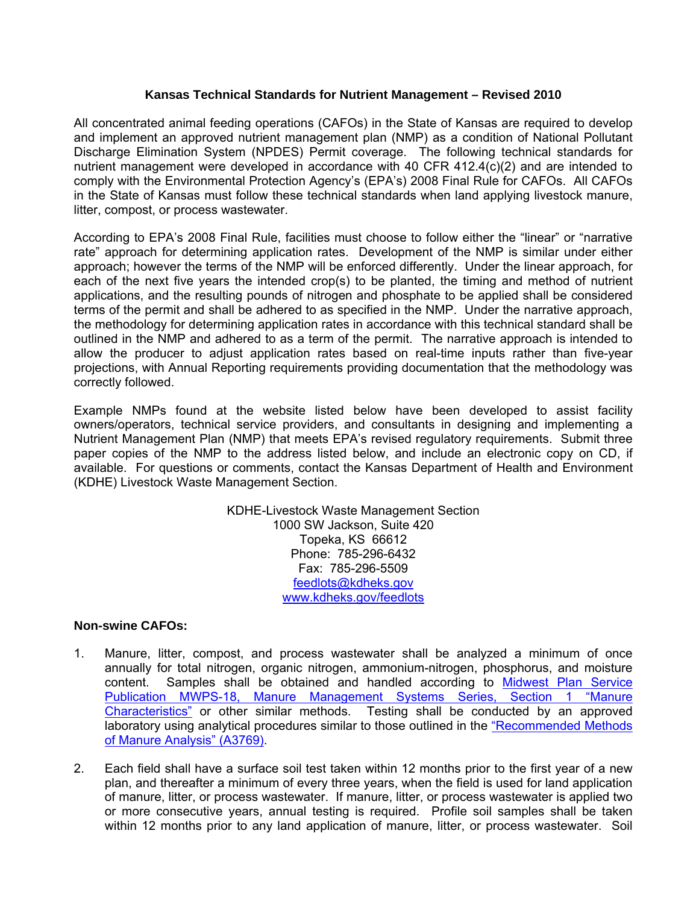### **Kansas Technical Standards for Nutrient Management – Revised 2010**

All concentrated animal feeding operations (CAFOs) in the State of Kansas are required to develop and implement an approved nutrient management plan (NMP) as a condition of National Pollutant Discharge Elimination System (NPDES) Permit coverage. The following technical standards for nutrient management were developed in accordance with 40 CFR 412.4(c)(2) and are intended to comply with the Environmental Protection Agency's (EPA's) 2008 Final Rule for CAFOs. All CAFOs in the State of Kansas must follow these technical standards when land applying livestock manure, litter, compost, or process wastewater.

According to EPA's 2008 Final Rule, facilities must choose to follow either the "linear" or "narrative rate" approach for determining application rates. Development of the NMP is similar under either approach; however the terms of the NMP will be enforced differently. Under the linear approach, for each of the next five years the intended crop(s) to be planted, the timing and method of nutrient applications, and the resulting pounds of nitrogen and phosphate to be applied shall be considered terms of the permit and shall be adhered to as specified in the NMP. Under the narrative approach, the methodology for determining application rates in accordance with this technical standard shall be outlined in the NMP and adhered to as a term of the permit. The narrative approach is intended to allow the producer to adjust application rates based on real-time inputs rather than five-year projections, with Annual Reporting requirements providing documentation that the methodology was correctly followed.

Example NMPs found at the website listed below have been developed to assist facility owners/operators, technical service providers, and consultants in designing and implementing a Nutrient Management Plan (NMP) that meets EPA's revised regulatory requirements. Submit three paper copies of the NMP to the address listed below, and include an electronic copy on CD, if available. For questions or comments, contact the Kansas Department of Health and Environment (KDHE) Livestock Waste Management Section.

> KDHE-Livestock Waste Management Section 1000 SW Jackson, Suite 420 Topeka, KS 66612 Phone: 785-296-6432 Fax: 785-296-5509 [feedlots@kdheks.gov](mailto:feedlots@kdheks.gov) [www.kdheks.gov/feedlots](http://www.kdheks.gov/feedlots)

#### **Non-swine CAFOs:**

- 1. Manure, litter, compost, and process wastewater shall be analyzed a minimum of once annually for total nitrogen, organic nitrogen, ammonium-nitrogen, phosphorus, and moisture content. Samples shall be obtained and handled according to [Midwest Plan Service](http://www.mwps.org/index.cfm?fuseaction=c_Products.viewProduct&catID=719&productID=6421&skunumber=MWPS18S1&crow=2)  [Publication MWPS-18, Manure Management Systems Series, Section 1 "Manure](http://www.mwps.org/index.cfm?fuseaction=c_Products.viewProduct&catID=719&productID=6421&skunumber=MWPS18S1&crow=2)  [Characteristics"](http://www.mwps.org/index.cfm?fuseaction=c_Products.viewProduct&catID=719&productID=6421&skunumber=MWPS18S1&crow=2) or other similar methods. Testing shall be conducted by an approved laboratory using analytical procedures similar to those outlined in the ["Recommended Methods](http://learningstore.uwex.edu/Recommended-Methods-of-Manure-Analysis-P106C0.aspx)  [of Manure Analysis" \(A3769\)](http://learningstore.uwex.edu/Recommended-Methods-of-Manure-Analysis-P106C0.aspx).
- 2. Each field shall have a surface soil test taken within 12 months prior to the first year of a new plan, and thereafter a minimum of every three years, when the field is used for land application of manure, litter, or process wastewater. If manure, litter, or process wastewater is applied two or more consecutive years, annual testing is required. Profile soil samples shall be taken within 12 months prior to any land application of manure, litter, or process wastewater. Soil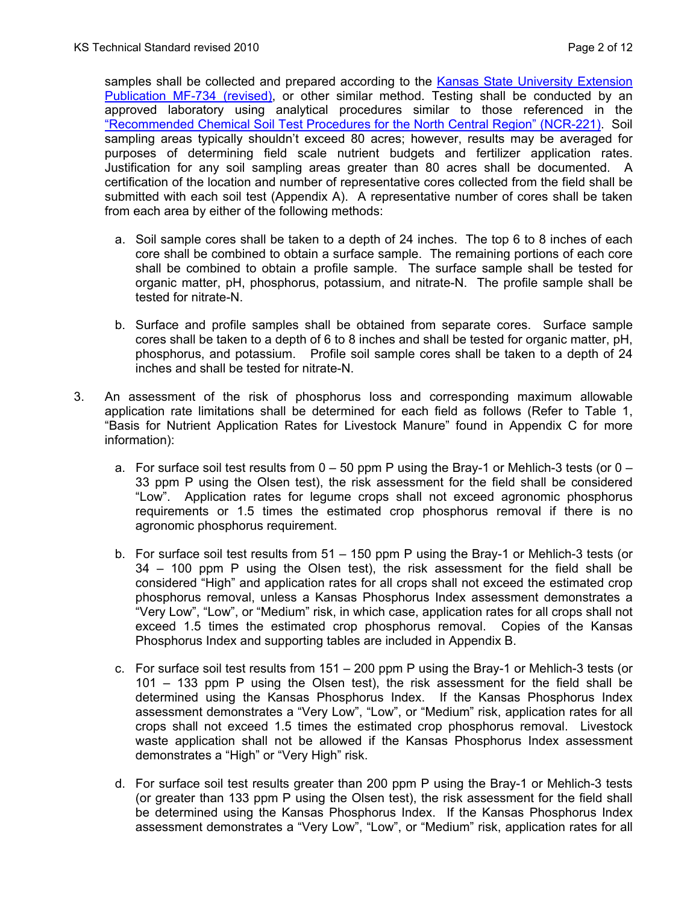samples shall be collected and prepared according to the Kansas State University Extension Publication MF-734 (revised), or other similar method. Testing shall be conducted by an approved laboratory using analytical procedures similar to those referenced in the "Recommended Chemical Soil Test Procedures for the North Central Region" (NCR-221). Soil sampling areas typically shouldn't exceed 80 acres; however, results may be averaged for purposes of determining field scale nutrient budgets and fertilizer application rates. Justification for any soil sampling areas greater than 80 acres shall be documented. A certification of the location and number of representative cores collected from the field shall be submitted with each soil test (Appendix A). A representative number of cores shall be taken from each area by either of the following methods:

- a. Soil sample cores shall be taken to a depth of 24 inches. The top 6 to 8 inches of each core shall be combined to obtain a surface sample. The remaining portions of each core shall be combined to obtain a profile sample. The surface sample shall be tested for organic matter, pH, phosphorus, potassium, and nitrate-N. The profile sample shall be tested for nitrate-N.
- b. Surface and profile samples shall be obtained from separate cores. Surface sample cores shall be taken to a depth of 6 to 8 inches and shall be tested for organic matter, pH, phosphorus, and potassium. Profile soil sample cores shall be taken to a depth of 24 inches and shall be tested for nitrate-N.
- 3. An assessment of the risk of phosphorus loss and corresponding maximum allowable application rate limitations shall be determined for each field as follows (Refer to Table 1, "Basis for Nutrient Application Rates for Livestock Manure" found in Appendix C for more information):
	- a. For surface soil test results from  $0 50$  ppm P using the Bray-1 or Mehlich-3 tests (or  $0 -$ 33 ppm P using the Olsen test), the risk assessment for the field shall be considered "Low". Application rates for legume crops shall not exceed agronomic phosphorus requirements or 1.5 times the estimated crop phosphorus removal if there is no agronomic phosphorus requirement.
	- b. For surface soil test results from 51 150 ppm P using the Bray-1 or Mehlich-3 tests (or 34 – 100 ppm P using the Olsen test), the risk assessment for the field shall be considered "High" and application rates for all crops shall not exceed the estimated crop phosphorus removal, unless a Kansas Phosphorus Index assessment demonstrates a "Very Low", "Low", or "Medium" risk, in which case, application rates for all crops shall not exceed 1.5 times the estimated crop phosphorus removal. Copies of the Kansas Phosphorus Index and supporting tables are included in Appendix B.
	- c. For surface soil test results from 151 200 ppm P using the Bray-1 or Mehlich-3 tests (or 101 – 133 ppm P using the Olsen test), the risk assessment for the field shall be determined using the Kansas Phosphorus Index. If the Kansas Phosphorus Index assessment demonstrates a "Very Low", "Low", or "Medium" risk, application rates for all crops shall not exceed 1.5 times the estimated crop phosphorus removal. Livestock waste application shall not be allowed if the Kansas Phosphorus Index assessment demonstrates a "High" or "Very High" risk.
	- d. For surface soil test results greater than 200 ppm P using the Bray-1 or Mehlich-3 tests (or greater than 133 ppm P using the Olsen test), the risk assessment for the field shall be determined using the Kansas Phosphorus Index. If the Kansas Phosphorus Index assessment demonstrates a "Very Low", "Low", or "Medium" risk, application rates for all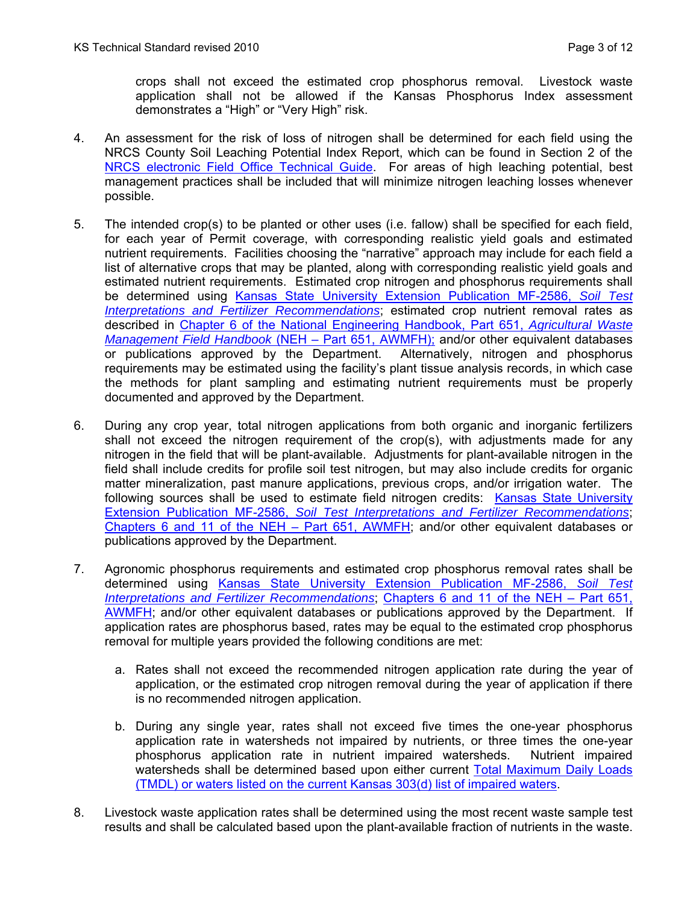crops shall not exceed the estimated crop phosphorus removal. Livestock waste application shall not be allowed if the Kansas Phosphorus Index assessment demonstrates a "High" or "Very High" risk.

- 4. An assessment for the risk of loss of nitrogen shall be determined for each field using the NRCS County Soil Leaching Potential Index Report, which can be found in Section 2 of the [NRCS electronic Field Office Technical Guide.](http://efotg.nrcs.usda.gov/efotg_locator.aspx?map=KS) For areas of high leaching potential, best management practices shall be included that will minimize nitrogen leaching losses whenever possible.
- 5. The intended crop(s) to be planted or other uses (i.e. fallow) shall be specified for each field, for each year of Permit coverage, with corresponding realistic yield goals and estimated nutrient requirements. Facilities choosing the "narrative" approach may include for each field a list of alternative crops that may be planted, along with corresponding realistic yield goals and estimated nutrient requirements. Estimated crop nitrogen and phosphorus requirements shall be determined using [Kansas State University Extension Publication MF-2586,](http://www.ksre.ksu.edu/library/crpsl2/mf2586.pdf) *Soil Test [Interpretations and Fertilizer Recommendations](http://www.ksre.ksu.edu/library/crpsl2/mf2586.pdf)*; estimated crop nutrient removal rates as described in [Chapter 6 of the National Engineering Handbook, Part 651,](http://policy.nrcs.usda.gov/viewerFS.aspx?hid=21430) *Agricultural Waste [Management Field Handbook](http://policy.nrcs.usda.gov/viewerFS.aspx?hid=21430)* (NEH – Part 651, AWMFH); and/or other equivalent databases or publications approved by the Department. Alternatively, nitrogen and phosphorus requirements may be estimated using the facility's plant tissue analysis records, in which case the methods for plant sampling and estimating nutrient requirements must be properly documented and approved by the Department.
- 6. During any crop year, total nitrogen applications from both organic and inorganic fertilizers shall not exceed the nitrogen requirement of the crop(s), with adjustments made for any nitrogen in the field that will be plant-available. Adjustments for plant-available nitrogen in the field shall include credits for profile soil test nitrogen, but may also include credits for organic matter mineralization, past manure applications, previous crops, and/or irrigation water. The following sources shall be used to estimate field nitrogen credits: [Kansas State University](http://www.ksre.ksu.edu/library/crpsl2/mf2586.pdf)  Extension Publication MF-2586, *[Soil Test Interpretations and Fertilizer Recommendations](http://www.ksre.ksu.edu/library/crpsl2/mf2586.pdf)*; [Chapters 6 and 11 of the NEH – Part 651, AWMFH;](http://policy.nrcs.usda.gov/viewerFS.aspx?hid=21430) and/or other equivalent databases or publications approved by the Department.
- 7. Agronomic phosphorus requirements and estimated crop phosphorus removal rates shall be determined using [Kansas State University Extension Publication MF-2586,](http://www.ksre.ksu.edu/library/crpsl2/mf2586.pdf) *Soil Test [Interpretations and Fertilizer Recommendations](http://www.ksre.ksu.edu/library/crpsl2/mf2586.pdf)*; [Chapters 6 and 11 of the NEH – Part 651,](http://policy.nrcs.usda.gov/viewerFS.aspx?hid=21430)  [AWMFH](http://policy.nrcs.usda.gov/viewerFS.aspx?hid=21430); and/or other equivalent databases or publications approved by the Department. If application rates are phosphorus based, rates may be equal to the estimated crop phosphorus removal for multiple years provided the following conditions are met:
	- a. Rates shall not exceed the recommended nitrogen application rate during the year of application, or the estimated crop nitrogen removal during the year of application if there is no recommended nitrogen application.
	- b. During any single year, rates shall not exceed five times the one-year phosphorus application rate in watersheds not impaired by nutrients, or three times the one-year phosphorus application rate in nutrient impaired watersheds. Nutrient impaired watersheds shall be determined based upon either current [Total Maximum Daily Loads](http://www.kdheks.gov/tmdl/index.htm)  [\(TMDL\) or waters listed on the current Kansas 303\(d\) list of impaired waters.](http://www.kdheks.gov/tmdl/index.htm)
- 8. Livestock waste application rates shall be determined using the most recent waste sample test results and shall be calculated based upon the plant-available fraction of nutrients in the waste.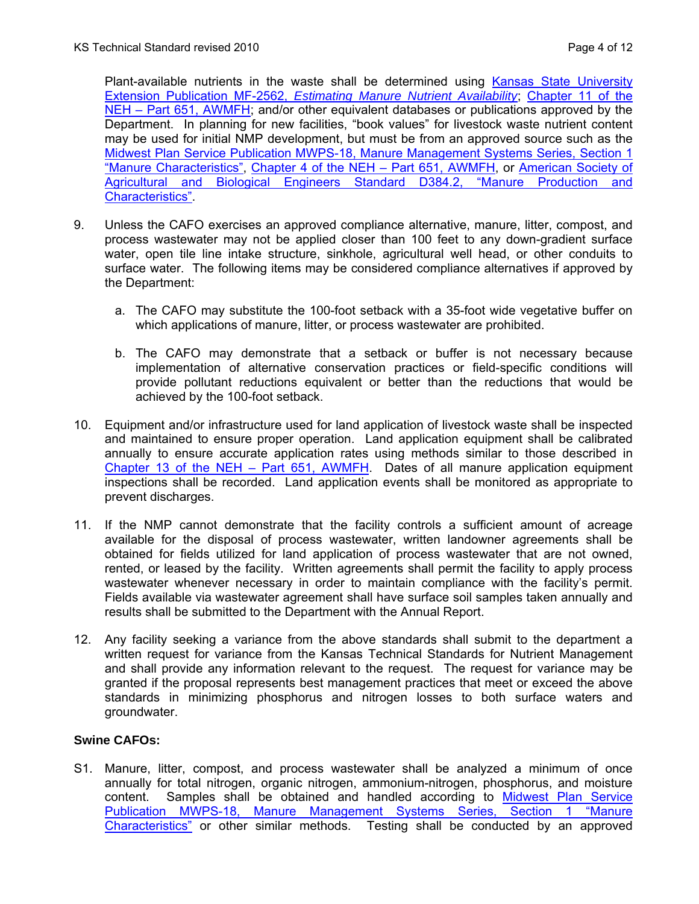Plant-available nutrients in the waste shall be determined using Kansas State University Extension Publication MF-2562, *Estimating Manure Nutrient Availability*; Chapter 11 of the NEH – Part 651, AWMFH; and/or other equivalent databases or publications approved by the Department. In planning for new facilities, "book values" for livestock waste nutrient content may be used for initial NMP development, but must be from an approved source such as the Midwest Plan Service Publication MWPS-18, Manure Management Systems Series, Section 1 "Manure Characteristics", Chapter 4 of the NEH – Part 651, AWMFH, or American Society of Agricultural and Biological Engineers Standard D384.2, "Manure Production and Characteristics".

- 9. Unless the CAFO exercises an approved compliance alternative, manure, litter, compost, and process wastewater may not be applied closer than 100 feet to any down-gradient surface water, open tile line intake structure, sinkhole, agricultural well head, or other conduits to surface water. The following items may be considered compliance alternatives if approved by the Department:
	- a. The CAFO may substitute the 100-foot setback with a 35-foot wide vegetative buffer on which applications of manure, litter, or process wastewater are prohibited.
	- b. The CAFO may demonstrate that a setback or buffer is not necessary because implementation of alternative conservation practices or field-specific conditions will provide pollutant reductions equivalent or better than the reductions that would be achieved by the 100-foot setback.
- 10. Equipment and/or infrastructure used for land application of livestock waste shall be inspected and maintained to ensure proper operation. Land application equipment shall be calibrated annually to ensure accurate application rates using methods similar to those described in [Chapter 13 of the NEH – Part 651, AWMFH](http://policy.nrcs.usda.gov/viewerFS.aspx?hid=21430). Dates of all manure application equipment inspections shall be recorded. Land application events shall be monitored as appropriate to prevent discharges.
- 11. If the NMP cannot demonstrate that the facility controls a sufficient amount of acreage available for the disposal of process wastewater, written landowner agreements shall be obtained for fields utilized for land application of process wastewater that are not owned, rented, or leased by the facility. Written agreements shall permit the facility to apply process wastewater whenever necessary in order to maintain compliance with the facility's permit. Fields available via wastewater agreement shall have surface soil samples taken annually and results shall be submitted to the Department with the Annual Report.
- 12. Any facility seeking a variance from the above standards shall submit to the department a written request for variance from the Kansas Technical Standards for Nutrient Management and shall provide any information relevant to the request. The request for variance may be granted if the proposal represents best management practices that meet or exceed the above standards in minimizing phosphorus and nitrogen losses to both surface waters and groundwater.

### **Swine CAFOs:**

S1. Manure, litter, compost, and process wastewater shall be analyzed a minimum of once annually for total nitrogen, organic nitrogen, ammonium-nitrogen, phosphorus, and moisture content. Samples shall be obtained and handled according to Midwest Plan Service [Publication MWPS-18, Manure Management Systems Series, Section 1 "Manure](http://www.mwps.org/index.cfm?fuseaction=c_Products.viewProduct&catID=719&productID=6421&skunumber=MWPS18S1&crow=2)  [Characteristics"](http://www.mwps.org/index.cfm?fuseaction=c_Products.viewProduct&catID=719&productID=6421&skunumber=MWPS18S1&crow=2) or other similar methods. Testing shall be conducted by an approved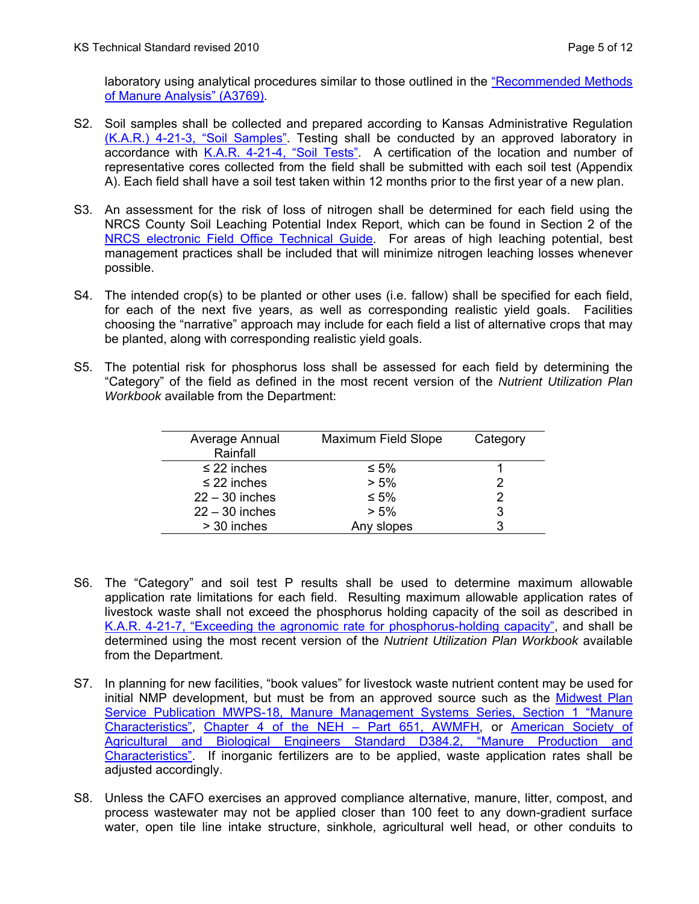laboratory using analytical procedures similar to those outlined in the "Recommended Methods of Manure Analysis" (A3769).

- S2. Soil samples shall be collected and prepared according to Kansas Administrative Regulation [\(K.A.R.\) 4-21-3, "Soil Samples"](http://www.kslegislature.org/ksadminregs/4-21-3.html). Testing shall be conducted by an approved laboratory in accordance with [K.A.R. 4-21-4, "Soil Tests".](http://www.kslegislature.org/ksadminregs/4-21-4.html) A certification of the location and number of representative cores collected from the field shall be submitted with each soil test (Appendix A). Each field shall have a soil test taken within 12 months prior to the first year of a new plan.
- S3. An assessment for the risk of loss of nitrogen shall be determined for each field using the NRCS County Soil Leaching Potential Index Report, which can be found in Section 2 of the [NRCS electronic Field Office Technical Guide.](http://efotg.nrcs.usda.gov/efotg_locator.aspx?map=KS) For areas of high leaching potential, best management practices shall be included that will minimize nitrogen leaching losses whenever possible.
- S4. The intended crop(s) to be planted or other uses (i.e. fallow) shall be specified for each field, for each of the next five years, as well as corresponding realistic yield goals. Facilities choosing the "narrative" approach may include for each field a list of alternative crops that may be planted, along with corresponding realistic yield goals.
- S5. The potential risk for phosphorus loss shall be assessed for each field by determining the "Category" of the field as defined in the most recent version of the *Nutrient Utilization Plan Workbook* available from the Department:

| Average Annual<br>Rainfall | <b>Maximum Field Slope</b> | Category |
|----------------------------|----------------------------|----------|
| $\leq$ 22 inches           | $\leq 5\%$                 |          |
| $\leq$ 22 inches           | $> 5\%$                    | 2        |
| $22 - 30$ inches           | $\leq 5\%$                 | 2        |
| $22 - 30$ inches           | $> 5\%$                    | 3        |
| > 30 inches                | Any slopes                 | 3        |
|                            |                            |          |

- S6. The "Category" and soil test P results shall be used to determine maximum allowable application rate limitations for each field. Resulting maximum allowable application rates of livestock waste shall not exceed the phosphorus holding capacity of the soil as described in [K.A.R. 4-21-7, "Exceeding the agronomic rate for phosphorus-holding capacity",](http://www.kslegislature.org/ksadminregs/4-21-7.html) and shall be determined using the most recent version of the *Nutrient Utilization Plan Workbook* available from the Department.
- S7. In planning for new facilities, "book values" for livestock waste nutrient content may be used for initial NMP development, but must be from an approved source such as the [Midwest Plan](http://www.mwps.org/index.cfm?fuseaction=c_Products.viewProduct&catID=719&productID=6421&skunumber=MWPS18S1&crow=2)  [Service Publication MWPS-18, Manure Management Systems Series, Section 1 "Manure](http://www.mwps.org/index.cfm?fuseaction=c_Products.viewProduct&catID=719&productID=6421&skunumber=MWPS18S1&crow=2)  [Characteristics"](http://www.mwps.org/index.cfm?fuseaction=c_Products.viewProduct&catID=719&productID=6421&skunumber=MWPS18S1&crow=2), [Chapter 4 of the NEH – Part 651, AWMFH](http://policy.nrcs.usda.gov/viewerFS.aspx?hid=21430), or [American Society of](http://asae.frymulti.com/abstract.asp?aid=19432&t=1)  [Agricultural and Biological Engineers Standard D384.2, "Manure Production and](http://asae.frymulti.com/abstract.asp?aid=19432&t=1)  [Characteristics"](http://asae.frymulti.com/abstract.asp?aid=19432&t=1). If inorganic fertilizers are to be applied, waste application rates shall be adjusted accordingly.
- S8. Unless the CAFO exercises an approved compliance alternative, manure, litter, compost, and process wastewater may not be applied closer than 100 feet to any down-gradient surface water, open tile line intake structure, sinkhole, agricultural well head, or other conduits to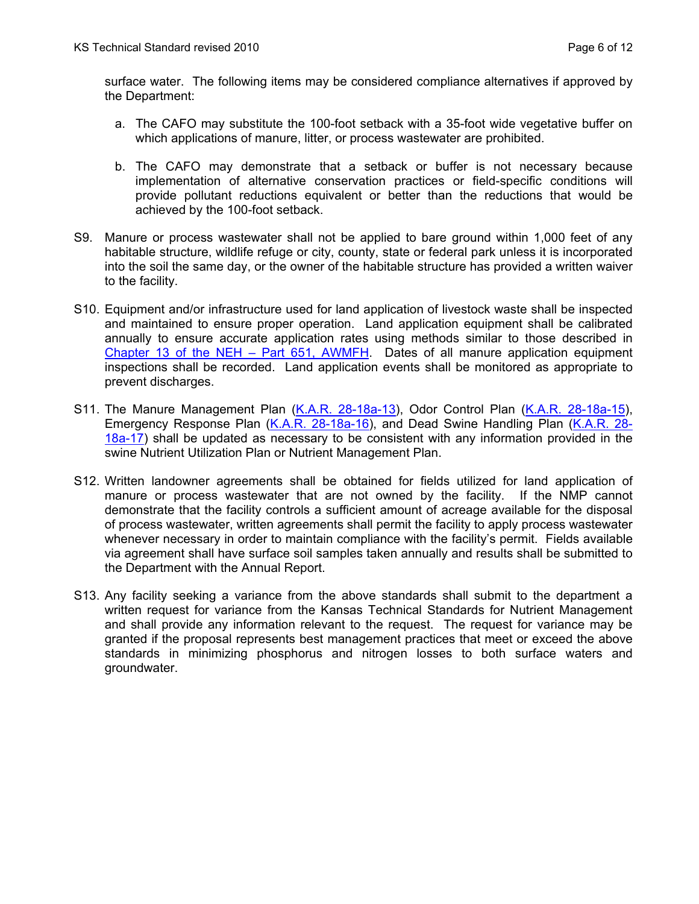surface water. The following items may be considered compliance alternatives if approved by the Department:

- a. The CAFO may substitute the 100-foot setback with a 35-foot wide vegetative buffer on which applications of manure, litter, or process wastewater are prohibited.
- b. The CAFO may demonstrate that a setback or buffer is not necessary because implementation of alternative conservation practices or field-specific conditions will provide pollutant reductions equivalent or better than the reductions that would be achieved by the 100-foot setback.
- S9. Manure or process wastewater shall not be applied to bare ground within 1,000 feet of any habitable structure, wildlife refuge or city, county, state or federal park unless it is incorporated into the soil the same day, or the owner of the habitable structure has provided a written waiver to the facility.
- S10. Equipment and/or infrastructure used for land application of livestock waste shall be inspected and maintained to ensure proper operation. Land application equipment shall be calibrated annually to ensure accurate application rates using methods similar to those described in [Chapter 13 of the NEH – Part 651, AWMFH](http://policy.nrcs.usda.gov/viewerFS.aspx?hid=21430). Dates of all manure application equipment inspections shall be recorded. Land application events shall be monitored as appropriate to prevent discharges.
- S11. The Manure Management Plan [\(K.A.R. 28-18a-13\)](http://www.kdheks.gov/feedlots/download/Article_18a_combined_w_index.pdf), Odor Control Plan [\(K.A.R. 28-18a-15\)](http://www.kdheks.gov/feedlots/download/Article_18a_combined_w_index.pdf), Emergency Response Plan ([K.A.R. 28-18a-16](http://www.kdheks.gov/feedlots/download/Article_18a_combined_w_index.pdf)), and Dead Swine Handling Plan ([K.A.R. 28-](http://www.kdheks.gov/feedlots/download/Article_18a_combined_w_index.pdf) [18a-17](http://www.kdheks.gov/feedlots/download/Article_18a_combined_w_index.pdf)) shall be updated as necessary to be consistent with any information provided in the swine Nutrient Utilization Plan or Nutrient Management Plan.
- S12. Written landowner agreements shall be obtained for fields utilized for land application of manure or process wastewater that are not owned by the facility. If the NMP cannot demonstrate that the facility controls a sufficient amount of acreage available for the disposal of process wastewater, written agreements shall permit the facility to apply process wastewater whenever necessary in order to maintain compliance with the facility's permit. Fields available via agreement shall have surface soil samples taken annually and results shall be submitted to the Department with the Annual Report.
- S13. Any facility seeking a variance from the above standards shall submit to the department a written request for variance from the Kansas Technical Standards for Nutrient Management and shall provide any information relevant to the request. The request for variance may be granted if the proposal represents best management practices that meet or exceed the above standards in minimizing phosphorus and nitrogen losses to both surface waters and groundwater.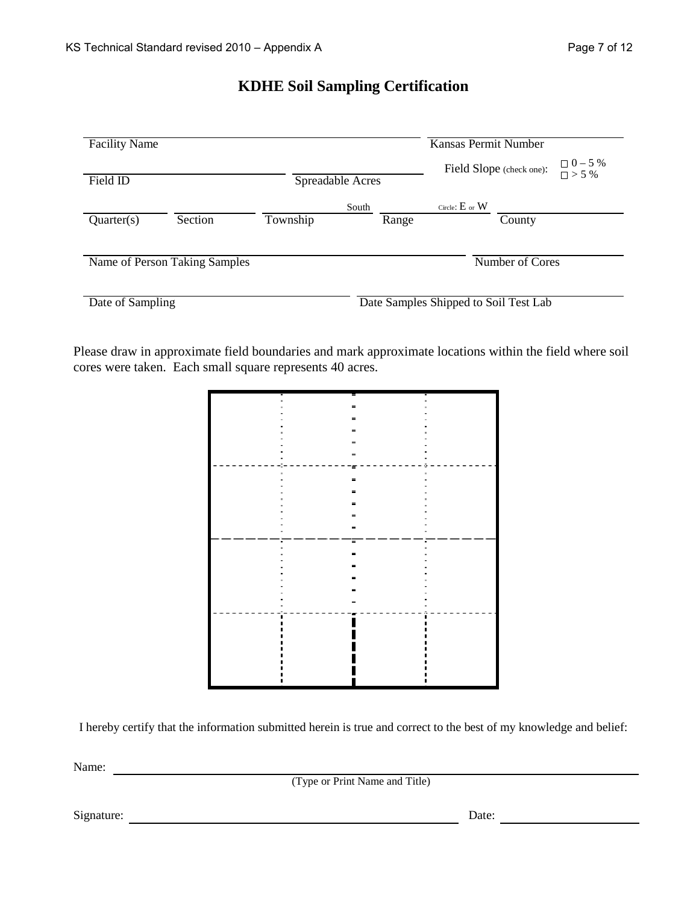# **KDHE Soil Sampling Certification**

| <b>Facility Name</b> |                               |          |                  |                    | Kansas Permit Number                  |                                  |
|----------------------|-------------------------------|----------|------------------|--------------------|---------------------------------------|----------------------------------|
| Field ID             |                               |          | Spreadable Acres |                    | Field Slope (check one):              | $\Box 0 - 5 \%$<br>$\Box > 5 \%$ |
| Quarter(s)           | Section                       | Township | South<br>Range   | Circle: $E$ or $W$ | County                                |                                  |
|                      | Name of Person Taking Samples |          |                  |                    | Number of Cores                       |                                  |
| Date of Sampling     |                               |          |                  |                    | Date Samples Shipped to Soil Test Lab |                                  |

Please draw in approximate field boundaries and mark approximate locations within the field where soil cores were taken. Each small square represents 40 acres.

|          | -        |  |
|----------|----------|--|
|          |          |  |
|          |          |  |
|          | =        |  |
|          |          |  |
| $=$      |          |  |
| $\equiv$ |          |  |
|          |          |  |
|          | ۰.       |  |
| ×.       | $\equiv$ |  |
|          |          |  |
|          | -        |  |
| =        |          |  |
|          |          |  |
|          | -        |  |
|          | ▬        |  |
|          |          |  |
| ٠        | Ξ        |  |
|          |          |  |
|          |          |  |
|          |          |  |
|          |          |  |
|          |          |  |
|          |          |  |
|          |          |  |
|          |          |  |
|          |          |  |
|          |          |  |
|          |          |  |
|          |          |  |
|          |          |  |
|          |          |  |
|          |          |  |
|          |          |  |
|          |          |  |
|          |          |  |

I hereby certify that the information submitted herein is true and correct to the best of my knowledge and belief:

Name:

(Type or Print Name and Title)

Signature: Date: Date: Date: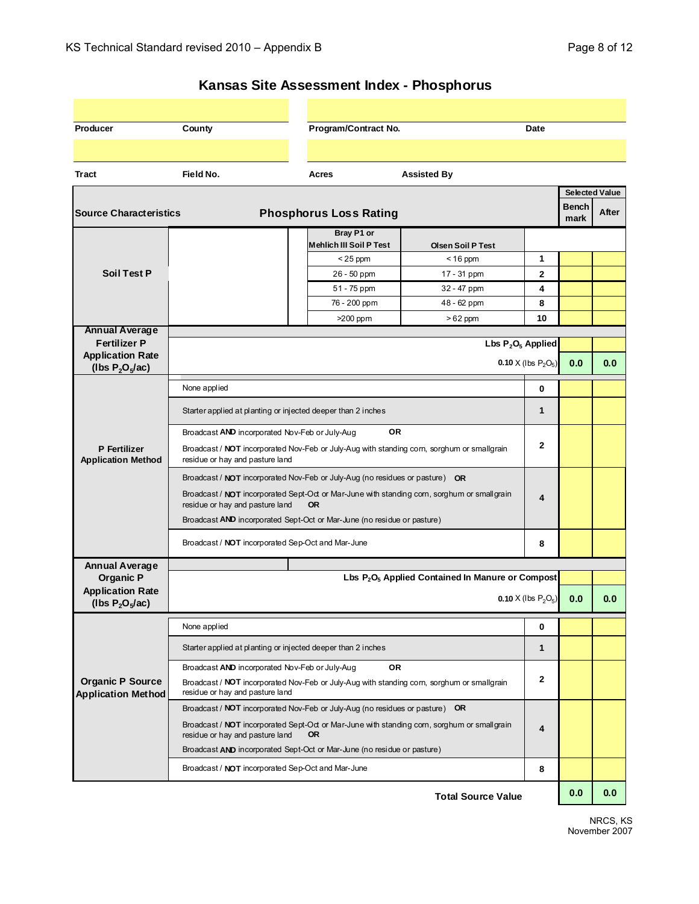| Producer                                             | County                                                                                                                        | Program/Contract No.                         | Date                                                                                        |                                 |               |                |  |  |  |
|------------------------------------------------------|-------------------------------------------------------------------------------------------------------------------------------|----------------------------------------------|---------------------------------------------------------------------------------------------|---------------------------------|---------------|----------------|--|--|--|
|                                                      |                                                                                                                               |                                              |                                                                                             |                                 |               |                |  |  |  |
| Tract                                                | Field No.                                                                                                                     | Acres                                        | <b>Assisted By</b>                                                                          |                                 |               |                |  |  |  |
|                                                      |                                                                                                                               |                                              |                                                                                             |                                 |               | Selected Value |  |  |  |
| <b>Source Characteristics</b>                        |                                                                                                                               | <b>Phosphorus Loss Rating</b>                |                                                                                             |                                 | Bench<br>mark | After          |  |  |  |
|                                                      |                                                                                                                               | Bray P1 or<br><b>Mehlich III Soil P Test</b> | <b>Olsen Soil P Test</b>                                                                    |                                 |               |                |  |  |  |
|                                                      |                                                                                                                               | $<$ 25 ppm                                   | $<$ 16 ppm                                                                                  | 1                               |               |                |  |  |  |
| <b>Soil Test P</b>                                   |                                                                                                                               | 26 - 50 ppm                                  | 17 - 31 ppm                                                                                 | $\mathbf{2}$                    |               |                |  |  |  |
|                                                      |                                                                                                                               | 51 - 75 ppm                                  | 32 - 47 ppm                                                                                 | 4                               |               |                |  |  |  |
|                                                      |                                                                                                                               | 76 - 200 ppm                                 | 48 - 62 ppm                                                                                 | 8                               |               |                |  |  |  |
|                                                      |                                                                                                                               | $>200$ ppm                                   | $>62$ ppm                                                                                   | 10                              |               |                |  |  |  |
| <b>Annual Average</b><br><b>Fertilizer P</b>         |                                                                                                                               |                                              |                                                                                             |                                 |               |                |  |  |  |
| <b>Application Rate</b>                              | Lbs $P_2O_5$ Applied<br>0.10 X (lbs $P_2O_5$ )                                                                                |                                              |                                                                                             |                                 |               |                |  |  |  |
| (lbs $P_2O_5/ac$ )                                   |                                                                                                                               |                                              |                                                                                             |                                 | 0.0           | 0.0            |  |  |  |
|                                                      | None applied                                                                                                                  | 0                                            |                                                                                             |                                 |               |                |  |  |  |
|                                                      | Starter applied at planting or injected deeper than 2 inches                                                                  | 1                                            |                                                                                             |                                 |               |                |  |  |  |
|                                                      | <b>OR</b><br>Broadcast AND incorporated Nov-Feb or July-Aug                                                                   |                                              |                                                                                             |                                 |               |                |  |  |  |
| P Fertilizer<br><b>Application Method</b>            | Broadcast / NOT incorporated Nov-Feb or July-Aug with standing corn, sorghum or smallgrain<br>residue or hay and pasture land | 2                                            |                                                                                             |                                 |               |                |  |  |  |
|                                                      | Broadcast / NOT incorporated Nov-Feb or July-Aug (no residues or pasture) OR                                                  |                                              |                                                                                             |                                 |               |                |  |  |  |
|                                                      | Broadcast / NOT incorporated Sept-Oct or Mar-June with standing corn, sorghum or smallgrain                                   | 4                                            |                                                                                             |                                 |               |                |  |  |  |
|                                                      | residue or hay and pasture land                                                                                               |                                              |                                                                                             |                                 |               |                |  |  |  |
|                                                      | Broadcast AND incorporated Sept-Oct or Mar-June (no residue or pasture)                                                       |                                              |                                                                                             |                                 |               |                |  |  |  |
|                                                      | Broadcast / NOT incorporated Sep-Oct and Mar-June                                                                             |                                              |                                                                                             | 8                               |               |                |  |  |  |
| <b>Annual Average</b>                                |                                                                                                                               |                                              |                                                                                             |                                 |               |                |  |  |  |
| <b>Organic P</b>                                     |                                                                                                                               |                                              | Lbs P <sub>2</sub> O <sub>5</sub> Applied Contained In Manure or Compost                    |                                 |               |                |  |  |  |
| <b>Application Rate</b><br>(lbs $P_2O_5/ac$ )        |                                                                                                                               |                                              |                                                                                             | <b>0.10</b> $X$ (lbs $P_2O_5$ ) | 0.0           | 0.0            |  |  |  |
|                                                      | None applied                                                                                                                  |                                              |                                                                                             | 0                               |               |                |  |  |  |
|                                                      | Starter applied at planting or injected deeper than 2 inches                                                                  |                                              |                                                                                             | $\mathbf{1}$                    |               |                |  |  |  |
|                                                      | Broadcast AND incorporated Nov-Feb or July-Aug                                                                                | <b>OR</b>                                    |                                                                                             |                                 |               |                |  |  |  |
| <b>Organic P Source</b><br><b>Application Method</b> | residue or hay and pasture land                                                                                               |                                              | Broadcast / NOT incorporated Nov-Feb or July-Aug with standing corn, sorghum or smallgrain  | 2                               |               |                |  |  |  |
|                                                      | Broadcast / NOT incorporated Nov-Feb or July-Aug (no residues or pasture) OR                                                  |                                              |                                                                                             |                                 |               |                |  |  |  |
|                                                      | residue or hay and pasture land                                                                                               | <b>OR</b>                                    | Broadcast / NOT incorporated Sept-Oct or Mar-June with standing corn, sorghum or smallgrain | 4                               |               |                |  |  |  |
|                                                      | Broadcast AND incorporated Sept-Oct or Mar-June (no residue or pasture)                                                       |                                              |                                                                                             |                                 |               |                |  |  |  |

Broadcast / **NOT** incorporated Sep-Oct and Mar-June

# **Kansas Site Assessment Index - Phosphorus**

Total Source Value **0.0** 0.0

**8**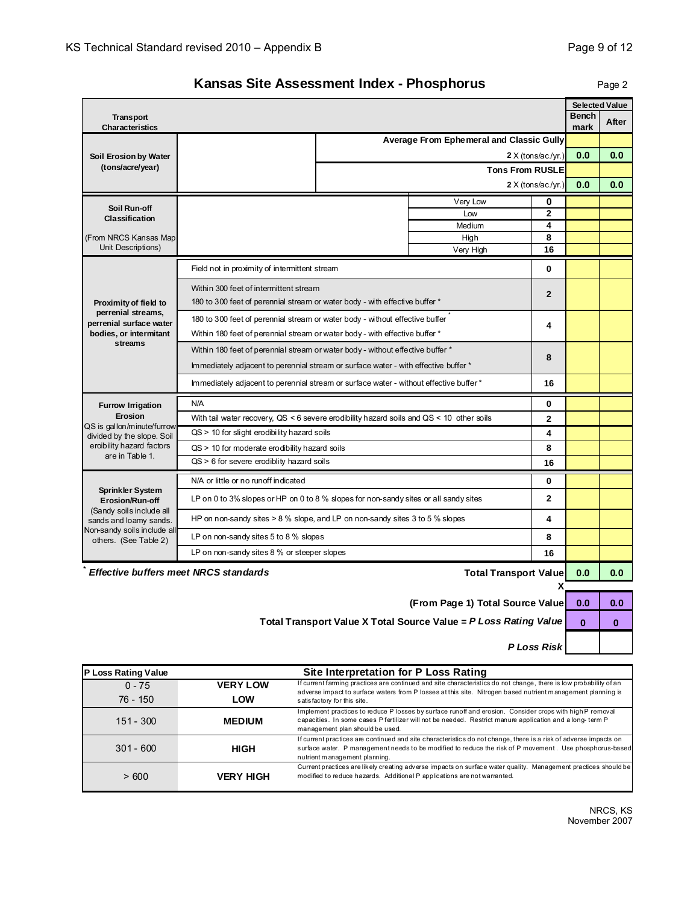## **Kansas Site Assessment Index - Phosphorus**

Page 2

|                                                          |                                                                                              |                        |                                          |                            |              | <b>Selected Value</b> |
|----------------------------------------------------------|----------------------------------------------------------------------------------------------|------------------------|------------------------------------------|----------------------------|--------------|-----------------------|
| <b>Transport</b>                                         |                                                                                              |                        |                                          |                            | <b>Bench</b> | After                 |
| Characteristics                                          |                                                                                              |                        |                                          |                            | mark         |                       |
|                                                          |                                                                                              |                        | Average From Ephemeral and Classic Gully |                            |              |                       |
| Soil Erosion by Water<br>(tons/acre/year)                |                                                                                              |                        |                                          | $2 \times ($ tons/ac./yr.) | 0.0          | 0.0                   |
|                                                          |                                                                                              | <b>Tons From RUSLE</b> |                                          |                            |              |                       |
|                                                          |                                                                                              |                        | 2 X (tons/ac/yr.)                        | 0.0                        | 0.0          |                       |
| Soil Run-off                                             |                                                                                              |                        | Very Low                                 | 0                          |              |                       |
| Classification                                           |                                                                                              |                        | Low<br>Medium                            | $\overline{2}$<br>4        |              |                       |
| (From NRCS Kansas Map                                    |                                                                                              | 8                      |                                          |                            |              |                       |
| Unit Descriptions)                                       |                                                                                              |                        | High<br>Very High                        | 16                         |              |                       |
|                                                          | Field not in proximity of intermittent stream                                                |                        |                                          | 0                          |              |                       |
|                                                          | Within 300 feet of intermittent stream                                                       |                        |                                          |                            |              |                       |
| Proximity of field to                                    | 180 to 300 feet of perennial stream or water body - with effective buffer *                  | $\overline{2}$         |                                          |                            |              |                       |
| perrenial streams,<br>perrenial surface water            | 180 to 300 feet of perennial stream or water body - without effective buffer                 |                        |                                          |                            |              |                       |
| bodies, or intermitant                                   | Within 180 feet of perennial stream or water body - with effective buffer *                  | 4                      |                                          |                            |              |                       |
| streams                                                  | Within 180 feet of perennial stream or water body - without effective buffer *               | 8                      |                                          |                            |              |                       |
|                                                          | Immediately adjacent to perennial stream or surface water - with effective buffer *          |                        |                                          |                            |              |                       |
|                                                          | Immediately adjacent to perennial stream or surface water - without effective buffer *       | 16                     |                                          |                            |              |                       |
| <b>Furrow Irrigation</b>                                 | N/A                                                                                          |                        |                                          | 0                          |              |                       |
| Erosion                                                  | With tail water recovery, $QS < 6$ severe erodibility hazard soils and $QS < 10$ other soils | $\overline{2}$         |                                          |                            |              |                       |
| QS is gallon/minute/furrow<br>divided by the slope. Soil | $QS > 10$ for slight erodibility hazard soils                                                | 4                      |                                          |                            |              |                       |
| eroibility hazard factors                                | $QS > 10$ for moderate erodibility hazard soils                                              | 8                      |                                          |                            |              |                       |
| are in Table 1.                                          | $QS > 6$ for severe erodiblity hazard soils                                                  | 16                     |                                          |                            |              |                       |
|                                                          | N/A or little or no runoff indicated                                                         |                        |                                          | 0                          |              |                       |
| Sprinkler System<br>Erosion/Run-off                      | LP on 0 to 3% slopes or HP on 0 to 8 % slopes for non-sandy sites or all sandy sites         |                        |                                          | $\overline{\mathbf{c}}$    |              |                       |
| (Sandy soils include all<br>sands and loamy sands.       | HP on non-sandy sites > 8 % slope, and LP on non-sandy sites 3 to 5 % slopes                 |                        |                                          | 4                          |              |                       |
| Non-sandy soils include all<br>others. (See Table 2)     | LP on non-sandy sites 5 to 8 % slopes                                                        |                        |                                          | 8                          |              |                       |
|                                                          | LP on non-sandy sites 8 % or steeper slopes                                                  |                        |                                          | 16                         |              |                       |
|                                                          | <b>Effective buffers meet NRCS standards</b>                                                 |                        | <b>Total Transport Value</b>             |                            | 0.0          | 0.0                   |
|                                                          |                                                                                              |                        |                                          | х                          |              |                       |
|                                                          |                                                                                              |                        | (From Dogo 4) Total Course Valu          |                            | $\mathbf{a}$ |                       |

**(From Page 1) Total Source Value 0.0 0.0** 

**Total Transport Value X Total Source Value =** *P Loss Rating Value* **0 0 0 0** 

*P Loss Risk*

| P Loss Rating Value |                  | Site Interpretation for P Loss Rating                                                                                                                                                                                                                        |
|---------------------|------------------|--------------------------------------------------------------------------------------------------------------------------------------------------------------------------------------------------------------------------------------------------------------|
| $0 - 75$            | <b>VERY LOW</b>  | If current farming practices are continued and site characteristics do not change, there is low probability of an<br>adverse impact to surface waters from P losses at this site. Nitrogen based nutrient management planning is                             |
| 76 - 150            | LOW              | satisfactory for this site.                                                                                                                                                                                                                                  |
| $151 - 300$         | <b>MEDIUM</b>    | Implement practices to reduce P losses by surface runoff and erosion. Consider crops with high P removal<br>capacities. In some cases P fertilizer will not be needed. Restrict manure application and a long-term P<br>management plan should be used.      |
| $301 - 600$         | HIGH             | If current practices are continued and site characteristics do not change, there is a risk of adverse impacts on<br>surface water. P management needs to be modified to reduce the risk of P movement. Use phosphorus-based<br>nutrient management planning. |
| >600                | <b>VERY HIGH</b> | Current practices are likely creating adverse impacts on surface water quality. Management practices should be<br>modified to reduce hazards. Additional P applications are not warranted.                                                                   |

 NRCS, KS November 2007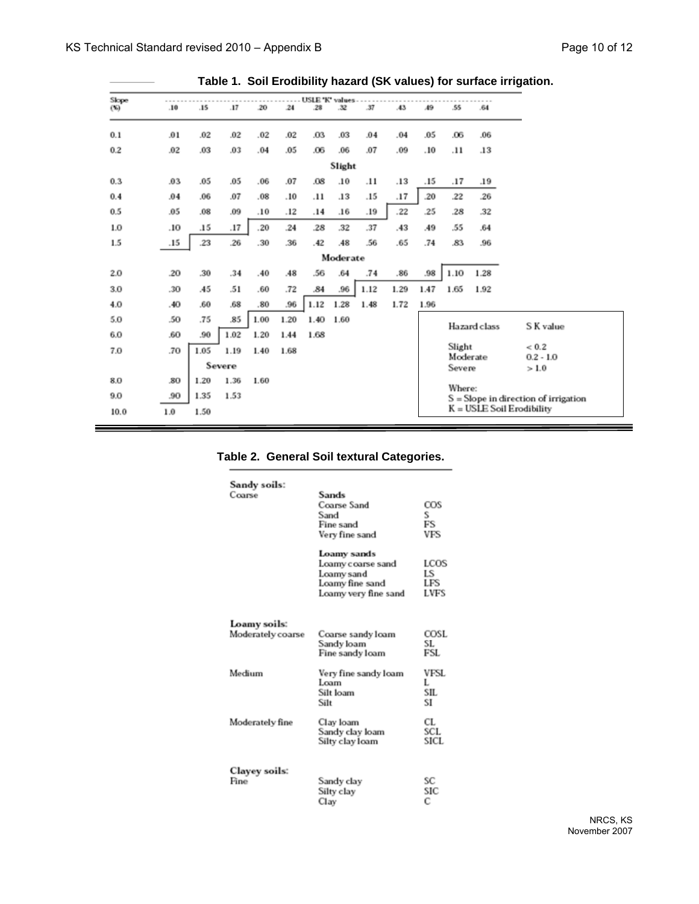| Slope<br>(36) | .10 | .15  | .17    | .20  | 24   | USLE 'K' values<br>.28 | .32      | .37  | .43  | 49   | .55                | .64          |                                      |
|---------------|-----|------|--------|------|------|------------------------|----------|------|------|------|--------------------|--------------|--------------------------------------|
| 0.1           | .01 | .02  | .02    | .02  | .02  | .03                    | .03      | .04  | .04  | .05  | .06                | .06          |                                      |
| 0.2           | .02 | .03  | .03    | .04  | .05  | .06                    | .06      | .07  | .09  | .10  | .11                | .13          |                                      |
|               |     |      |        |      |      |                        | Slight   |      |      |      |                    |              |                                      |
| 0.3           | .03 | .05  | .05    | .06  | .07  | .08                    | .10      | .11  | .13  | .15  | .17                | .19          |                                      |
| 0.4           | .04 | .06  | .07    | .08  | .10  | .11                    | .13      | .15  | .17  | .20  | .22                | .26          |                                      |
| 0.5           | .05 | .08  | .09    | .10  | .12  | .14                    | .16      | .19  | .22  | .25  | .28                | .32          |                                      |
| 1.0           | .10 | .15  | .17    | .20  | .24  | .28                    | .32      | .37  | .43  | A9   | .55                | .64          |                                      |
| 1.5           | .15 | .23  | .26    | .30  | .36  | .42                    | .48      | .56  | .65  | .74  | .83                | .96          |                                      |
|               |     |      |        |      |      |                        | Moderate |      |      |      |                    |              |                                      |
| 2.0           | .20 | .30  | .34    | .40  | .48  | .56                    | .64      | .74  | .86  | .98  | 1.10               | 1.28         |                                      |
| 3.0           | .30 | .45  | .51    | .60  | .72  | .84                    | .96      | 1.12 | 1.29 | 1.47 | 1.65               | 1.92         |                                      |
| 4.0           | .40 | .60  | .68    | .80  | .96  | 1.12                   | 1.28     | 1.48 | 1.72 | 1.96 |                    |              |                                      |
| 5.0           | .50 | .75  | .85    | 1.00 | 1.20 | 1.40                   | 1.60     |      |      |      |                    | Hazard class | S K value                            |
| 6.0           | .60 | .90  | 1.02   | 1.20 | 1.44 | 1.68                   |          |      |      |      |                    |              |                                      |
| 7.0           | .70 | 1.05 | 1.19   | 1.40 | 1.68 |                        |          |      |      |      | Slight<br>Moderate |              | ${}< 0.2$<br>$0.2 - 1.0$             |
|               |     |      | Severe |      |      |                        |          |      |      |      | Severe             |              | >1.0                                 |
| 8.0           | .80 | 1.20 | 1.36   | 1.60 |      |                        |          |      |      |      | Where:             |              |                                      |
| 9.0           | .90 | 1.35 | 1.53   |      |      |                        |          |      |      |      |                    |              | S = Slope in direction of irrigation |
| 10.0          | 1.0 | 1.50 |        |      |      |                        |          |      |      |      |                    |              | K = USLE Soil Erodibility            |

### **Table 1. Soil Erodibility hazard (SK values) for surface irrigation.**

| Table 2. General Soil textural Categories. |
|--------------------------------------------|
|--------------------------------------------|

| Sandy soils:<br>Coarse            | Sands<br>Coarse Sand<br>Sand<br>Fine sand<br>Very fine sand                               | COS<br>S.<br>FS<br>VFS           |
|-----------------------------------|-------------------------------------------------------------------------------------------|----------------------------------|
|                                   | Loamy sands<br>Loamy coarse sand<br>Loamy sand<br>Loamy fine sand<br>Loamy very fine sand | LCOS<br>LS<br>LFS<br><b>LVFS</b> |
| Loamy soils:<br>Moderately coarse | Coarse sandy loam<br>Sandy loam<br>Fine sandy loam                                        | COSL<br>SL.<br>FSL               |
| Medium                            | Very fine sandy loam<br>Loam<br>Silt loam<br>Silt                                         | VFSL<br>L<br>SIL.<br>SI          |
| Moderately fine                   | Clay loam<br>Sandy clay loam<br>Silty clay loam                                           | CL<br><b>SCL</b><br>SICL.        |
| <b>Clayey soils:</b><br>Fine      | Sandy clay<br>Silty clay<br>Clav                                                          | SС<br>SIC<br>с                   |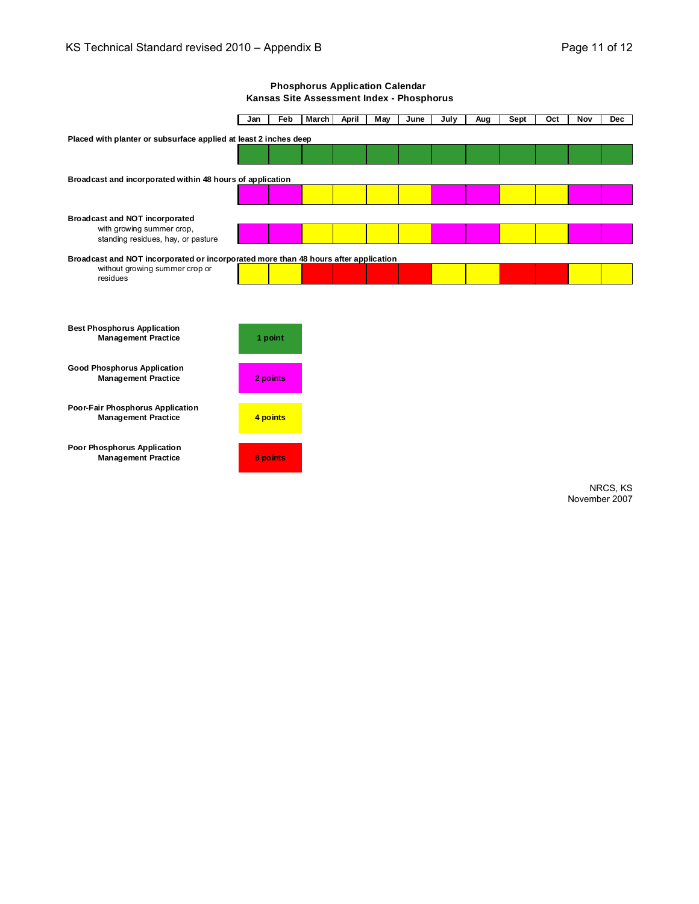#### **Phosphorus Application Calendar Kansas Site Assessment Index - Phosphorus**

|                                                                                     | Jan | Feb      | <b>March</b> | <b>April</b> | <b>May</b> | June | July | Aug | Sept | Oct | Nov | <b>Dec</b> |
|-------------------------------------------------------------------------------------|-----|----------|--------------|--------------|------------|------|------|-----|------|-----|-----|------------|
| Placed with planter or subsurface applied at least 2 inches deep                    |     |          |              |              |            |      |      |     |      |     |     |            |
|                                                                                     |     |          |              |              |            |      |      |     |      |     |     |            |
|                                                                                     |     |          |              |              |            |      |      |     |      |     |     |            |
| Broadcast and incorporated within 48 hours of application                           |     |          |              |              |            |      |      |     |      |     |     |            |
|                                                                                     |     |          |              |              |            |      |      |     |      |     |     |            |
| <b>Broadcast and NOT incorporated</b>                                               |     |          |              |              |            |      |      |     |      |     |     |            |
| with growing summer crop,                                                           |     |          |              |              |            |      |      |     |      |     |     |            |
| standing residues, hay, or pasture                                                  |     |          |              |              |            |      |      |     |      |     |     |            |
| Broadcast and NOT incorporated or incorporated more than 48 hours after application |     |          |              |              |            |      |      |     |      |     |     |            |
| without growing summer crop or<br>residues                                          |     |          |              |              |            |      |      |     |      |     |     |            |
|                                                                                     |     |          |              |              |            |      |      |     |      |     |     |            |
|                                                                                     |     |          |              |              |            |      |      |     |      |     |     |            |
| <b>Best Phosphorus Application</b>                                                  |     |          |              |              |            |      |      |     |      |     |     |            |
| <b>Management Practice</b>                                                          |     | 1 point  |              |              |            |      |      |     |      |     |     |            |
|                                                                                     |     |          |              |              |            |      |      |     |      |     |     |            |
| <b>Good Phosphorus Application</b>                                                  |     |          |              |              |            |      |      |     |      |     |     |            |
| <b>Management Practice</b>                                                          |     | 2 points |              |              |            |      |      |     |      |     |     |            |
|                                                                                     |     |          |              |              |            |      |      |     |      |     |     |            |
| Poor-Fair Phosphorus Application<br><b>Management Practice</b>                      |     | 4 points |              |              |            |      |      |     |      |     |     |            |
|                                                                                     |     |          |              |              |            |      |      |     |      |     |     |            |
| Poor Phosphorus Application                                                         |     |          |              |              |            |      |      |     |      |     |     |            |
| <b>Management Practice</b>                                                          |     | 8 points |              |              |            |      |      |     |      |     |     |            |
|                                                                                     |     |          |              |              |            |      |      |     |      |     |     |            |
|                                                                                     |     |          |              |              |            |      |      |     |      |     |     | NRCS, KS   |

November 2007